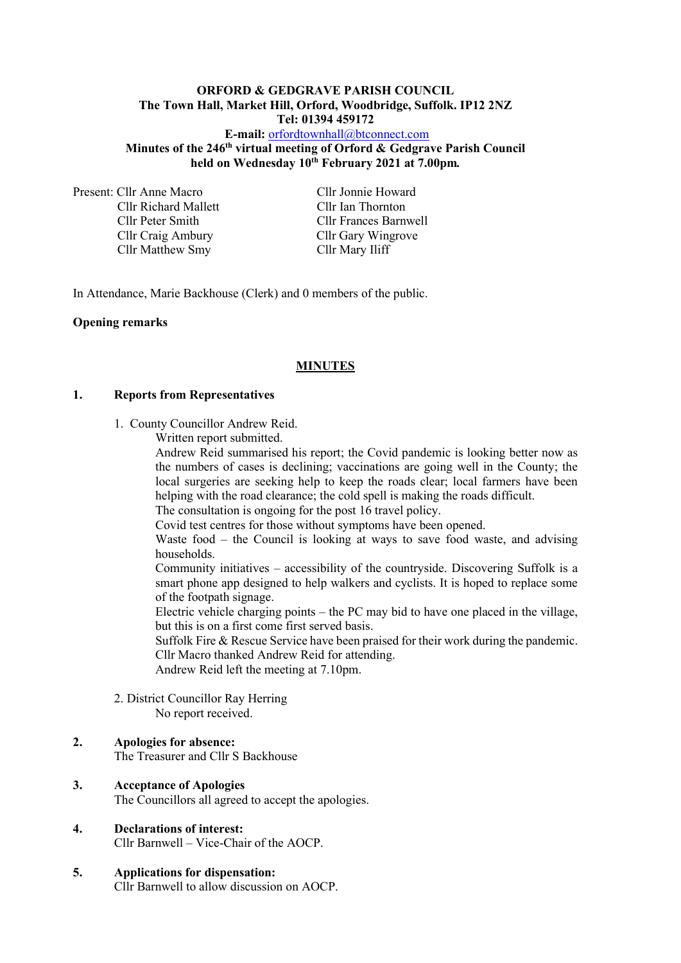### **ORFORD & GEDGRAVE PARISH COUNCIL The Town Hall, Market Hill, Orford, Woodbridge, Suffolk. IP12 2NZ Tel: 01394 459172**

**E-mail:** [orfordtownhall@btconnect.com](mailto:orfordtownhall@btconnect.com) **Minutes of the 246 th virtual meeting of Orford & Gedgrave Parish Council held on Wednesday 10 th February 2021 at 7.00pm***.*

Present: Cllr Anne Macro Cllr Jonnie Howard Cllr Richard Mallett Cllr Ian Thornton Cllr Craig Ambury Cllr Gary Wingrove Cllr Matthew Smy Cllr Mary Iliff

Cllr Peter Smith Cllr Frances Barnwell

In Attendance, Marie Backhouse (Clerk) and 0 members of the public.

### **Opening remarks**

### **MINUTES**

### **1. Reports from Representatives**

- 1. County Councillor Andrew Reid.
	- Written report submitted.

Andrew Reid summarised his report; the Covid pandemic is looking better now as the numbers of cases is declining; vaccinations are going well in the County; the local surgeries are seeking help to keep the roads clear; local farmers have been helping with the road clearance; the cold spell is making the roads difficult.

The consultation is ongoing for the post 16 travel policy.

Covid test centres for those without symptoms have been opened.

Waste food – the Council is looking at ways to save food waste, and advising households.

Community initiatives – accessibility of the countryside. Discovering Suffolk is a smart phone app designed to help walkers and cyclists. It is hoped to replace some of the footpath signage.

Electric vehicle charging points – the PC may bid to have one placed in the village, but this is on a first come first served basis.

Suffolk Fire & Rescue Service have been praised for their work during the pandemic. Cllr Macro thanked Andrew Reid for attending.

Andrew Reid left the meeting at 7.10pm.

2. District Councillor Ray Herring No report received.

### **2. Apologies for absence:**

The Treasurer and Cllr S Backhouse

### **3. Acceptance of Apologies**

The Councillors all agreed to accept the apologies.

- **4. Declarations of interest:** Cllr Barnwell – Vice-Chair of the AOCP.
- **5. Applications for dispensation:** Cllr Barnwell to allow discussion on AOCP.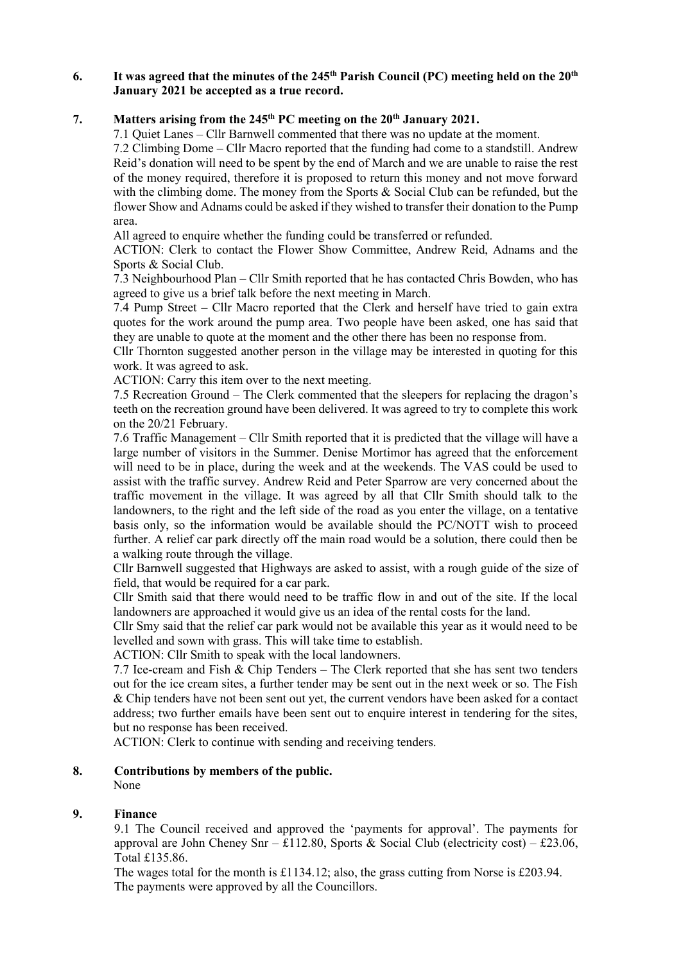### **6. It was agreed that the minutes of the 245 th Parish Council (PC) meeting held on the 20th January 2021 be accepted as a true record.**

# **7. Matters arising from the 245 th PC meeting on the 20th January 2021.**

7.1 Quiet Lanes – Cllr Barnwell commented that there was no update at the moment.

7.2 Climbing Dome – Cllr Macro reported that the funding had come to a standstill. Andrew Reid's donation will need to be spent by the end of March and we are unable to raise the rest of the money required, therefore it is proposed to return this money and not move forward with the climbing dome. The money from the Sports & Social Club can be refunded, but the flower Show and Adnams could be asked if they wished to transfer their donation to the Pump area.

All agreed to enquire whether the funding could be transferred or refunded.

ACTION: Clerk to contact the Flower Show Committee, Andrew Reid, Adnams and the Sports & Social Club.

7.3 Neighbourhood Plan – Cllr Smith reported that he has contacted Chris Bowden, who has agreed to give us a brief talk before the next meeting in March.

7.4 Pump Street – Cllr Macro reported that the Clerk and herself have tried to gain extra quotes for the work around the pump area. Two people have been asked, one has said that they are unable to quote at the moment and the other there has been no response from.

Cllr Thornton suggested another person in the village may be interested in quoting for this work. It was agreed to ask.

ACTION: Carry this item over to the next meeting.

7.5 Recreation Ground – The Clerk commented that the sleepers for replacing the dragon's teeth on the recreation ground have been delivered. It was agreed to try to complete this work on the 20/21 February.

7.6 Traffic Management – Cllr Smith reported that it is predicted that the village will have a large number of visitors in the Summer. Denise Mortimor has agreed that the enforcement will need to be in place, during the week and at the weekends. The VAS could be used to assist with the traffic survey. Andrew Reid and Peter Sparrow are very concerned about the traffic movement in the village. It was agreed by all that Cllr Smith should talk to the landowners, to the right and the left side of the road as you enter the village, on a tentative basis only, so the information would be available should the PC/NOTT wish to proceed further. A relief car park directly off the main road would be a solution, there could then be a walking route through the village.

Cllr Barnwell suggested that Highways are asked to assist, with a rough guide of the size of field, that would be required for a car park.

Cllr Smith said that there would need to be traffic flow in and out of the site. If the local landowners are approached it would give us an idea of the rental costs for the land.

Cllr Smy said that the relief car park would not be available this year as it would need to be levelled and sown with grass. This will take time to establish.

ACTION: Cllr Smith to speak with the local landowners.

7.7 Ice-cream and Fish  $\&$  Chip Tenders – The Clerk reported that she has sent two tenders out for the ice cream sites, a further tender may be sent out in the next week or so. The Fish & Chip tenders have not been sent out yet, the current vendors have been asked for a contact address; two further emails have been sent out to enquire interest in tendering for the sites, but no response has been received.

ACTION: Clerk to continue with sending and receiving tenders.

### **8. Contributions by members of the public.**

None

### **9. Finance**

9.1 The Council received and approved the 'payments for approval'. The payments for approval are John Cheney Snr – £112.80, Sports & Social Club (electricity cost) – £23.06, Total £135.86.

The wages total for the month is £1134.12; also, the grass cutting from Norse is £203.94. The payments were approved by all the Councillors.